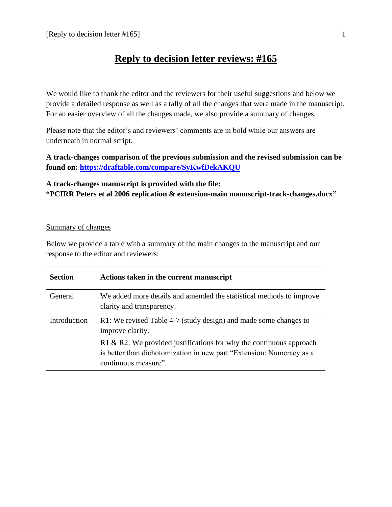# **Reply to decision letter reviews: #165**

We would like to thank the editor and the reviewers for their useful suggestions and below we provide a detailed response as well as a tally of all the changes that were made in the manuscript. For an easier overview of all the changes made, we also provide a summary of changes.

Please note that the editor's and reviewers' comments are in bold while our answers are underneath in normal script.

**A track-changes comparison of the previous submission and the revised submission can be found on:<https://draftable.com/compare/SyKwfDekAKQU>**

## **A track-changes manuscript is provided with the file: "PCIRR Peters et al 2006 replication & extension-main manuscript-track-changes.docx"**

### Summary of changes

Below we provide a table with a summary of the main changes to the manuscript and our response to the editor and reviewers:

| <b>Section</b> | Actions taken in the current manuscript                                                                                                                             |
|----------------|---------------------------------------------------------------------------------------------------------------------------------------------------------------------|
| General        | We added more details and amended the statistical methods to improve<br>clarity and transparency.                                                                   |
| Introduction   | R1: We revised Table 4-7 (study design) and made some changes to<br>improve clarity.                                                                                |
|                | R1 & R2: We provided justifications for why the continuous approach<br>is better than dichotomization in new part "Extension: Numeracy as a<br>continuous measure". |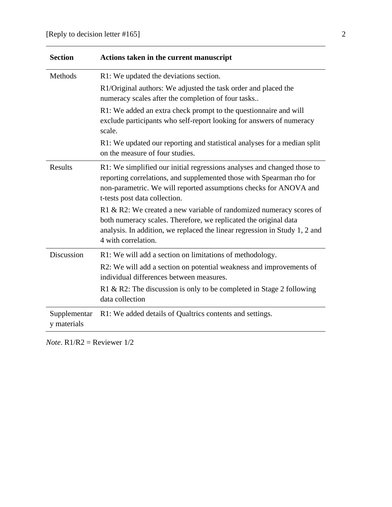| <b>Section</b>              | Actions taken in the current manuscript                                                                                                                                                                                                               |
|-----------------------------|-------------------------------------------------------------------------------------------------------------------------------------------------------------------------------------------------------------------------------------------------------|
| Methods                     | R1: We updated the deviations section.                                                                                                                                                                                                                |
|                             | R1/Original authors: We adjusted the task order and placed the<br>numeracy scales after the completion of four tasks                                                                                                                                  |
|                             | R1: We added an extra check prompt to the questionnaire and will<br>exclude participants who self-report looking for answers of numeracy<br>scale.                                                                                                    |
|                             | R1: We updated our reporting and statistical analyses for a median split<br>on the measure of four studies.                                                                                                                                           |
| Results                     | R1: We simplified our initial regressions analyses and changed those to<br>reporting correlations, and supplemented those with Spearman rho for<br>non-parametric. We will reported assumptions checks for ANOVA and<br>t-tests post data collection. |
|                             | R1 & R2: We created a new variable of randomized numeracy scores of<br>both numeracy scales. Therefore, we replicated the original data<br>analysis. In addition, we replaced the linear regression in Study 1, 2 and<br>4 with correlation.          |
| <b>Discussion</b>           | R1: We will add a section on limitations of methodology.                                                                                                                                                                                              |
|                             | R2: We will add a section on potential weakness and improvements of<br>individual differences between measures.                                                                                                                                       |
|                             | R1 & R2: The discussion is only to be completed in Stage 2 following<br>data collection                                                                                                                                                               |
| Supplementar<br>y materials | R1: We added details of Qualtrics contents and settings.                                                                                                                                                                                              |

*Note*. R1/R2 = Reviewer 1/2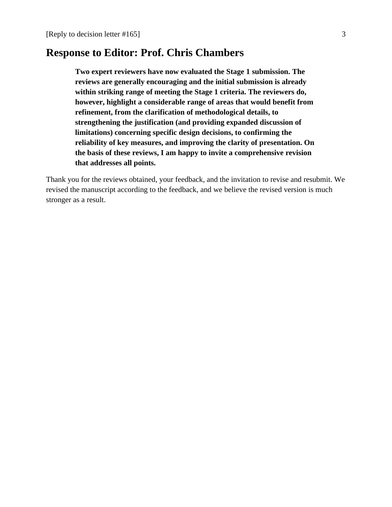# **Response to Editor: Prof. Chris Chambers**

**Two expert reviewers have now evaluated the Stage 1 submission. The reviews are generally encouraging and the initial submission is already within striking range of meeting the Stage 1 criteria. The reviewers do, however, highlight a considerable range of areas that would benefit from refinement, from the clarification of methodological details, to strengthening the justification (and providing expanded discussion of limitations) concerning specific design decisions, to confirming the reliability of key measures, and improving the clarity of presentation. On the basis of these reviews, I am happy to invite a comprehensive revision that addresses all points.**

Thank you for the reviews obtained, your feedback, and the invitation to revise and resubmit. We revised the manuscript according to the feedback, and we believe the revised version is much stronger as a result.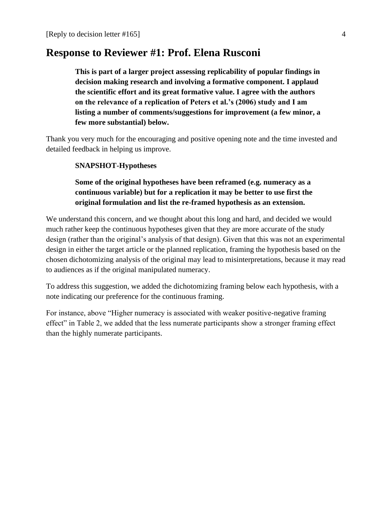# **Response to Reviewer #1: Prof. Elena Rusconi**

**This is part of a larger project assessing replicability of popular findings in decision making research and involving a formative component. I applaud the scientific effort and its great formative value. I agree with the authors on the relevance of a replication of Peters et al.'s (2006) study and I am listing a number of comments/suggestions for improvement (a few minor, a few more substantial) below.**

Thank you very much for the encouraging and positive opening note and the time invested and detailed feedback in helping us improve.

#### **SNAPSHOT-Hypotheses**

## **Some of the original hypotheses have been reframed (e.g. numeracy as a continuous variable) but for a replication it may be better to use first the original formulation and list the re-framed hypothesis as an extension.**

We understand this concern, and we thought about this long and hard, and decided we would much rather keep the continuous hypotheses given that they are more accurate of the study design (rather than the original's analysis of that design). Given that this was not an experimental design in either the target article or the planned replication, framing the hypothesis based on the chosen dichotomizing analysis of the original may lead to misinterpretations, because it may read to audiences as if the original manipulated numeracy.

To address this suggestion, we added the dichotomizing framing below each hypothesis, with a note indicating our preference for the continuous framing.

For instance, above "Higher numeracy is associated with weaker positive-negative framing effect" in Table 2, we added that the less numerate participants show a stronger framing effect than the highly numerate participants.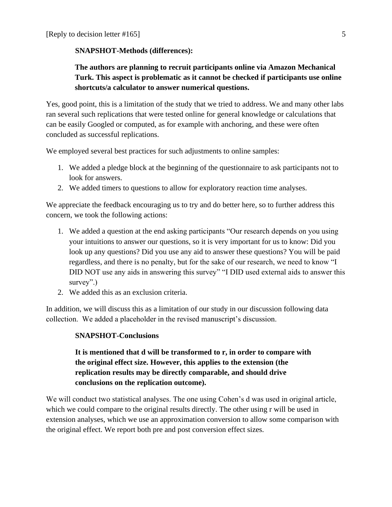### **SNAPSHOT-Methods (differences):**

## **The authors are planning to recruit participants online via Amazon Mechanical Turk. This aspect is problematic as it cannot be checked if participants use online shortcuts/a calculator to answer numerical questions.**

Yes, good point, this is a limitation of the study that we tried to address. We and many other labs ran several such replications that were tested online for general knowledge or calculations that can be easily Googled or computed, as for example with anchoring, and these were often concluded as successful replications.

We employed several best practices for such adjustments to online samples:

- 1. We added a pledge block at the beginning of the questionnaire to ask participants not to look for answers.
- 2. We added timers to questions to allow for exploratory reaction time analyses.

We appreciate the feedback encouraging us to try and do better here, so to further address this concern, we took the following actions:

- 1. We added a question at the end asking participants "Our research depends on you using your intuitions to answer our questions, so it is very important for us to know: Did you look up any questions? Did you use any aid to answer these questions? You will be paid regardless, and there is no penalty, but for the sake of our research, we need to know "I DID NOT use any aids in answering this survey" "I DID used external aids to answer this survey".)
- 2. We added this as an exclusion criteria.

In addition, we will discuss this as a limitation of our study in our discussion following data collection. We added a placeholder in the revised manuscript's discussion.

### **SNAPSHOT-Conclusions**

## **It is mentioned that d will be transformed to r, in order to compare with the original effect size. However, this applies to the extension (the replication results may be directly comparable, and should drive conclusions on the replication outcome).**

We will conduct two statistical analyses. The one using Cohen's d was used in original article, which we could compare to the original results directly. The other using r will be used in extension analyses, which we use an approximation conversion to allow some comparison with the original effect. We report both pre and post conversion effect sizes.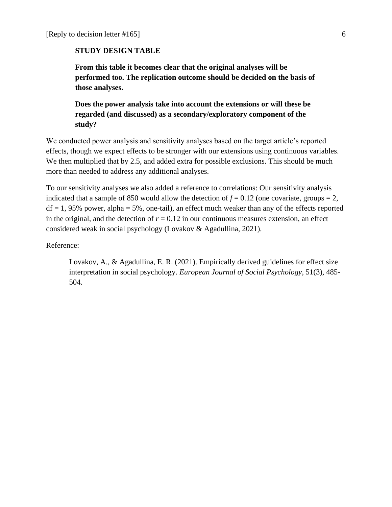#### **STUDY DESIGN TABLE**

**From this table it becomes clear that the original analyses will be performed too. The replication outcome should be decided on the basis of those analyses.**

**Does the power analysis take into account the extensions or will these be regarded (and discussed) as a secondary/exploratory component of the study?** 

We conducted power analysis and sensitivity analyses based on the target article's reported effects, though we expect effects to be stronger with our extensions using continuous variables. We then multiplied that by 2.5, and added extra for possible exclusions. This should be much more than needed to address any additional analyses.

To our sensitivity analyses we also added a reference to correlations: Our sensitivity analysis indicated that a sample of 850 would allow the detection of  $f = 0.12$  (one covariate, groups = 2,  $df = 1$ , 95% power, alpha = 5%, one-tail), an effect much weaker than any of the effects reported in the original, and the detection of  $r = 0.12$  in our continuous measures extension, an effect considered weak in social psychology (Lovakov & Agadullina, 2021).

Reference:

Lovakov, A., & Agadullina, E. R. (2021). Empirically derived guidelines for effect size interpretation in social psychology. *European Journal of Social Psychology*, 51(3), 485- 504.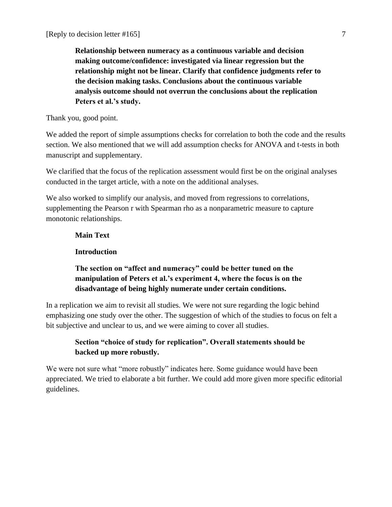**Relationship between numeracy as a continuous variable and decision making outcome/confidence: investigated via linear regression but the relationship might not be linear. Clarify that confidence judgments refer to the decision making tasks. Conclusions about the continuous variable analysis outcome should not overrun the conclusions about the replication Peters et al.'s study.**

Thank you, good point.

We added the report of simple assumptions checks for correlation to both the code and the results section. We also mentioned that we will add assumption checks for ANOVA and t-tests in both manuscript and supplementary.

We clarified that the focus of the replication assessment would first be on the original analyses conducted in the target article, with a note on the additional analyses.

We also worked to simplify our analysis, and moved from regressions to correlations, supplementing the Pearson r with Spearman rho as a nonparametric measure to capture monotonic relationships.

### **Main Text**

#### **Introduction**

## **The section on "affect and numeracy" could be better tuned on the manipulation of Peters et al.'s experiment 4, where the focus is on the disadvantage of being highly numerate under certain conditions.**

In a replication we aim to revisit all studies. We were not sure regarding the logic behind emphasizing one study over the other. The suggestion of which of the studies to focus on felt a bit subjective and unclear to us, and we were aiming to cover all studies.

## **Section "choice of study for replication". Overall statements should be backed up more robustly.**

We were not sure what "more robustly" indicates here. Some guidance would have been appreciated. We tried to elaborate a bit further. We could add more given more specific editorial guidelines.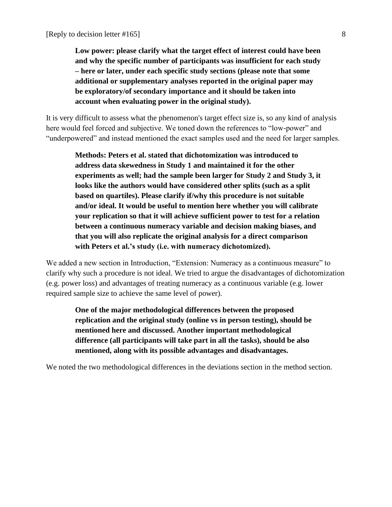**Low power: please clarify what the target effect of interest could have been and why the specific number of participants was insufficient for each study – here or later, under each specific study sections (please note that some additional or supplementary analyses reported in the original paper may be exploratory/of secondary importance and it should be taken into account when evaluating power in the original study).**

It is very difficult to assess what the phenomenon's target effect size is, so any kind of analysis here would feel forced and subjective. We toned down the references to "low-power" and "underpowered" and instead mentioned the exact samples used and the need for larger samples.

**Methods: Peters et al. stated that dichotomization was introduced to address data skewedness in Study 1 and maintained it for the other experiments as well; had the sample been larger for Study 2 and Study 3, it looks like the authors would have considered other splits (such as a split based on quartiles). Please clarify if/why this procedure is not suitable and/or ideal. It would be useful to mention here whether you will calibrate your replication so that it will achieve sufficient power to test for a relation between a continuous numeracy variable and decision making biases, and that you will also replicate the original analysis for a direct comparison with Peters et al.'s study (i.e. with numeracy dichotomized).**

We added a new section in Introduction, "Extension: Numeracy as a continuous measure" to clarify why such a procedure is not ideal. We tried to argue the disadvantages of dichotomization (e.g. power loss) and advantages of treating numeracy as a continuous variable (e.g. lower required sample size to achieve the same level of power).

**One of the major methodological differences between the proposed replication and the original study (online vs in person testing), should be mentioned here and discussed. Another important methodological difference (all participants will take part in all the tasks), should be also mentioned, along with its possible advantages and disadvantages.**

We noted the two methodological differences in the deviations section in the method section.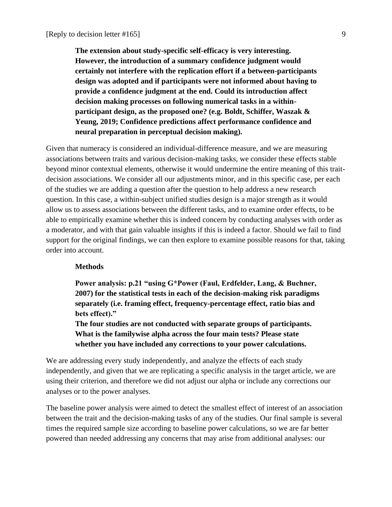**The extension about study-specific self-efficacy is very interesting. However, the introduction of a summary confidence judgment would certainly not interfere with the replication effort if a between-participants design was adopted and if participants were not informed about having to provide a confidence judgment at the end. Could its introduction affect decision making processes on following numerical tasks in a withinparticipant design, as the proposed one? (e.g. Boldt, Schiffer, Waszak & Yeung, 2019; Confidence predictions affect performance confidence and neural preparation in perceptual decision making).**

Given that numeracy is considered an individual-difference measure, and we are measuring associations between traits and various decision-making tasks, we consider these effects stable beyond minor contextual elements, otherwise it would undermine the entire meaning of this traitdecision associations. We consider all our adjustments minor, and in this specific case, per each of the studies we are adding a question after the question to help address a new research question. In this case, a within-subject unified studies design is a major strength as it would allow us to assess associations between the different tasks, and to examine order effects, to be able to empirically examine whether this is indeed concern by conducting analyses with order as a moderator, and with that gain valuable insights if this is indeed a factor. Should we fail to find support for the original findings, we can then explore to examine possible reasons for that, taking order into account.

#### **Methods**

**Power analysis: p.21 "using G\*Power (Faul, Erdfelder, Lang, & Buchner, 2007) for the statistical tests in each of the decision-making risk paradigms separately (i.e. framing effect, frequency-percentage effect, ratio bias and bets effect)."**

**The four studies are not conducted with separate groups of participants. What is the familywise alpha across the four main tests? Please state whether you have included any corrections to your power calculations.**

We are addressing every study independently, and analyze the effects of each study independently, and given that we are replicating a specific analysis in the target article, we are using their criterion, and therefore we did not adjust our alpha or include any corrections our analyses or to the power analyses.

The baseline power analysis were aimed to detect the smallest effect of interest of an association between the trait and the decision-making tasks of any of the studies. Our final sample is several times the required sample size according to baseline power calculations, so we are far better powered than needed addressing any concerns that may arise from additional analyses: our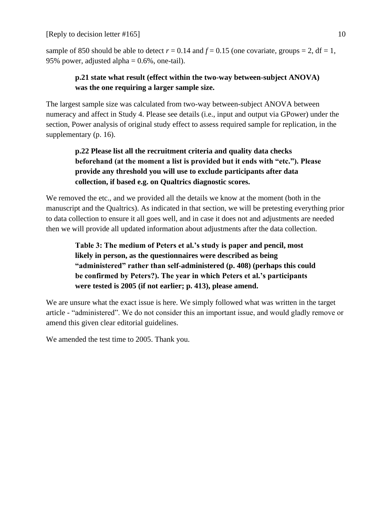[Reply to decision letter  $\#165$ ] 10

sample of 850 should be able to detect  $r = 0.14$  and  $f = 0.15$  (one covariate, groups = 2, df = 1, 95% power, adjusted alpha  $= 0.6\%$ , one-tail).

## **p.21 state what result (effect within the two-way between-subject ANOVA) was the one requiring a larger sample size.**

The largest sample size was calculated from two-way between-subject ANOVA between numeracy and affect in Study 4. Please see details (i.e., input and output via GPower) under the section, Power analysis of original study effect to assess required sample for replication, in the supplementary (p. 16).

# **p.22 Please list all the recruitment criteria and quality data checks beforehand (at the moment a list is provided but it ends with "etc."). Please provide any threshold you will use to exclude participants after data collection, if based e.g. on Qualtrics diagnostic scores.**

We removed the etc., and we provided all the details we know at the moment (both in the manuscript and the Qualtrics). As indicated in that section, we will be pretesting everything prior to data collection to ensure it all goes well, and in case it does not and adjustments are needed then we will provide all updated information about adjustments after the data collection.

**Table 3: The medium of Peters et al.'s study is paper and pencil, most likely in person, as the questionnaires were described as being "administered" rather than self-administered (p. 408) (perhaps this could be confirmed by Peters?). The year in which Peters et al.'s participants were tested is 2005 (if not earlier; p. 413), please amend.**

We are unsure what the exact issue is here. We simply followed what was written in the target article - "administered". We do not consider this an important issue, and would gladly remove or amend this given clear editorial guidelines.

We amended the test time to 2005. Thank you.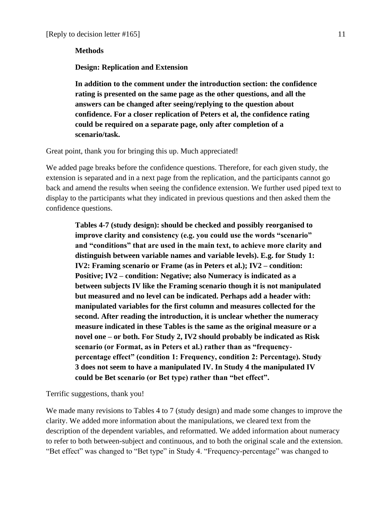#### **Methods**

**Design: Replication and Extension**

**In addition to the comment under the introduction section: the confidence rating is presented on the same page as the other questions, and all the answers can be changed after seeing/replying to the question about confidence. For a closer replication of Peters et al, the confidence rating could be required on a separate page, only after completion of a scenario/task.** 

Great point, thank you for bringing this up. Much appreciated!

We added page breaks before the confidence questions. Therefore, for each given study, the extension is separated and in a next page from the replication, and the participants cannot go back and amend the results when seeing the confidence extension. We further used piped text to display to the participants what they indicated in previous questions and then asked them the confidence questions.

**Tables 4-7 (study design): should be checked and possibly reorganised to improve clarity and consistency (e.g. you could use the words "scenario" and "conditions" that are used in the main text, to achieve more clarity and distinguish between variable names and variable levels). E.g. for Study 1: IV2: Framing scenario or Frame (as in Peters et al.); IV2 – condition: Positive; IV2 – condition: Negative; also Numeracy is indicated as a between subjects IV like the Framing scenario though it is not manipulated but measured and no level can be indicated. Perhaps add a header with: manipulated variables for the first column and measures collected for the second. After reading the introduction, it is unclear whether the numeracy measure indicated in these Tables is the same as the original measure or a novel one – or both. For Study 2, IV2 should probably be indicated as Risk scenario (or Format, as in Peters et al.) rather than as "frequencypercentage effect" (condition 1: Frequency, condition 2: Percentage). Study 3 does not seem to have a manipulated IV. In Study 4 the manipulated IV could be Bet scenario (or Bet type) rather than "bet effect".**

Terrific suggestions, thank you!

We made many revisions to Tables 4 to 7 (study design) and made some changes to improve the clarity. We added more information about the manipulations, we cleared text from the description of the dependent variables, and reformatted. We added information about numeracy to refer to both between-subject and continuous, and to both the original scale and the extension. "Bet effect" was changed to "Bet type" in Study 4. "Frequency-percentage" was changed to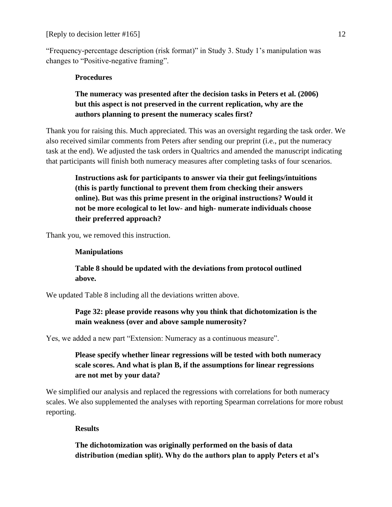"Frequency-percentage description (risk format)" in Study 3. Study 1's manipulation was changes to "Positive-negative framing".

### **Procedures**

## **The numeracy was presented after the decision tasks in Peters et al. (2006) but this aspect is not preserved in the current replication, why are the authors planning to present the numeracy scales first?**

Thank you for raising this. Much appreciated. This was an oversight regarding the task order. We also received similar comments from Peters after sending our preprint (i.e., put the numeracy task at the end). We adjusted the task orders in Qualtrics and amended the manuscript indicating that participants will finish both numeracy measures after completing tasks of four scenarios.

**Instructions ask for participants to answer via their gut feelings/intuitions (this is partly functional to prevent them from checking their answers online). But was this prime present in the original instructions? Would it not be more ecological to let low- and high- numerate individuals choose their preferred approach?**

Thank you, we removed this instruction.

### **Manipulations**

## **Table 8 should be updated with the deviations from protocol outlined above.**

We updated Table 8 including all the deviations written above.

**Page 32: please provide reasons why you think that dichotomization is the main weakness (over and above sample numerosity?** 

Yes, we added a new part "Extension: Numeracy as a continuous measure".

**Please specify whether linear regressions will be tested with both numeracy scale scores. And what is plan B, if the assumptions for linear regressions are not met by your data?** 

We simplified our analysis and replaced the regressions with correlations for both numeracy scales. We also supplemented the analyses with reporting Spearman correlations for more robust reporting.

## **Results**

**The dichotomization was originally performed on the basis of data distribution (median split). Why do the authors plan to apply Peters et al's**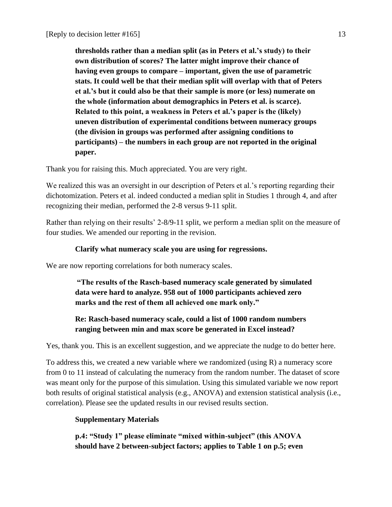**thresholds rather than a median split (as in Peters et al.'s study) to their own distribution of scores? The latter might improve their chance of having even groups to compare – important, given the use of parametric stats. It could well be that their median split will overlap with that of Peters et al.'s but it could also be that their sample is more (or less) numerate on the whole (information about demographics in Peters et al. is scarce). Related to this point, a weakness in Peters et al.'s paper is the (likely) uneven distribution of experimental conditions between numeracy groups (the division in groups was performed after assigning conditions to participants) – the numbers in each group are not reported in the original paper.**

Thank you for raising this. Much appreciated. You are very right.

We realized this was an oversight in our description of Peters et al.'s reporting regarding their dichotomization. Peters et al. indeed conducted a median split in Studies 1 through 4, and after recognizing their median, performed the 2-8 versus 9-11 split.

Rather than relying on their results' 2-8/9-11 split, we perform a median split on the measure of four studies. We amended our reporting in the revision.

### **Clarify what numeracy scale you are using for regressions.**

We are now reporting correlations for both numeracy scales.

**"The results of the Rasch-based numeracy scale generated by simulated data were hard to analyze. 958 out of 1000 participants achieved zero marks and the rest of them all achieved one mark only."** 

## **Re: Rasch-based numeracy scale, could a list of 1000 random numbers ranging between min and max score be generated in Excel instead?**

Yes, thank you. This is an excellent suggestion, and we appreciate the nudge to do better here.

To address this, we created a new variable where we randomized (using R) a numeracy score from 0 to 11 instead of calculating the numeracy from the random number. The dataset of score was meant only for the purpose of this simulation. Using this simulated variable we now report both results of original statistical analysis (e.g., ANOVA) and extension statistical analysis (i.e., correlation). Please see the updated results in our revised results section.

### **Supplementary Materials**

**p.4: "Study 1" please eliminate "mixed within-subject" (this ANOVA should have 2 between-subject factors; applies to Table 1 on p.5; even**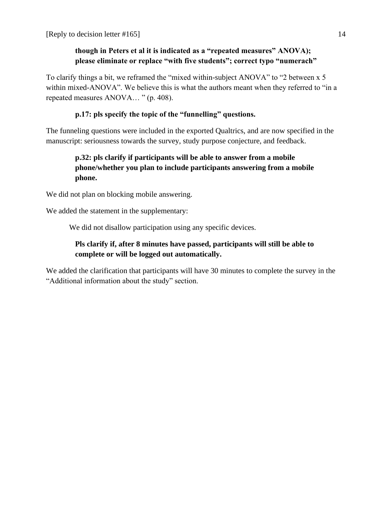## **though in Peters et al it is indicated as a "repeated measures" ANOVA); please eliminate or replace "with five students"; correct typo "numerach"**

To clarify things a bit, we reframed the "mixed within-subject ANOVA" to "2 between x 5 within mixed-ANOVA". We believe this is what the authors meant when they referred to "in a repeated measures ANOVA… " (p. 408).

## **p.17: pls specify the topic of the "funnelling" questions.**

The funneling questions were included in the exported Qualtrics, and are now specified in the manuscript: seriousness towards the survey, study purpose conjecture, and feedback.

## **p.32: pls clarify if participants will be able to answer from a mobile phone/whether you plan to include participants answering from a mobile phone.**

We did not plan on blocking mobile answering.

We added the statement in the supplementary:

We did not disallow participation using any specific devices.

## **Pls clarify if, after 8 minutes have passed, participants will still be able to complete or will be logged out automatically.**

We added the clarification that participants will have 30 minutes to complete the survey in the "Additional information about the study" section.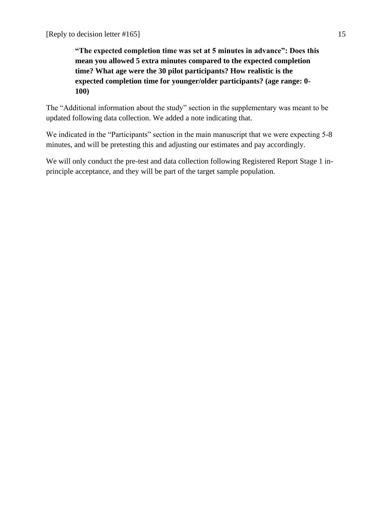**"The expected completion time was set at 5 minutes in advance": Does this mean you allowed 5 extra minutes compared to the expected completion time? What age were the 30 pilot participants? How realistic is the expected completion time for younger/older participants? (age range: 0- 100)**

The "Additional information about the study" section in the supplementary was meant to be updated following data collection. We added a note indicating that.

We indicated in the "Participants" section in the main manuscript that we were expecting 5-8 minutes, and will be pretesting this and adjusting our estimates and pay accordingly.

We will only conduct the pre-test and data collection following Registered Report Stage 1 inprinciple acceptance, and they will be part of the target sample population.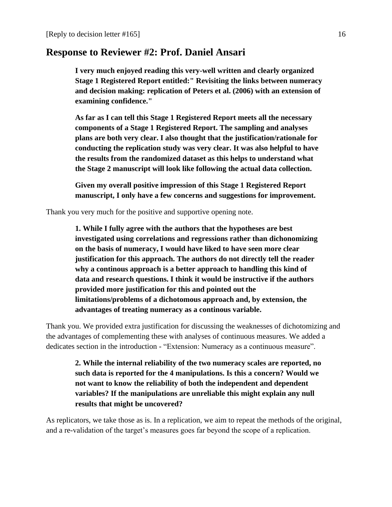# **Response to Reviewer #2: Prof. Daniel Ansari**

**I very much enjoyed reading this very-well written and clearly organized Stage 1 Registered Report entitled:" Revisiting the links between numeracy and decision making: replication of Peters et al. (2006) with an extension of examining confidence."**

**As far as I can tell this Stage 1 Registered Report meets all the necessary components of a Stage 1 Registered Report. The sampling and analyses plans are both very clear. I also thought that the justification/rationale for conducting the replication study was very clear. It was also helpful to have the results from the randomized dataset as this helps to understand what the Stage 2 manuscript will look like following the actual data collection.** 

**Given my overall positive impression of this Stage 1 Registered Report manuscript, I only have a few concerns and suggestions for improvement.** 

Thank you very much for the positive and supportive opening note.

**1. While I fully agree with the authors that the hypotheses are best investigated using correlations and regressions rather than dichonomizing on the basis of numeracy, I would have liked to have seen more clear justification for this approach. The authors do not directly tell the reader why a continous approach is a better approach to handling this kind of data and research questions. I think it would be instructive if the authors provided more justification for this and pointed out the limitations/problems of a dichotomous approach and, by extension, the advantages of treating numeracy as a continous variable.** 

Thank you. We provided extra justification for discussing the weaknesses of dichotomizing and the advantages of complementing these with analyses of continuous measures. We added a dedicates section in the introduction - "Extension: Numeracy as a continuous measure".

**2. While the internal reliability of the two numeracy scales are reported, no such data is reported for the 4 manipulations. Is this a concern? Would we not want to know the reliability of both the independent and dependent variables? If the manipulations are unreliable this might explain any null results that might be uncovered?** 

As replicators, we take those as is. In a replication, we aim to repeat the methods of the original, and a re-validation of the target's measures goes far beyond the scope of a replication.